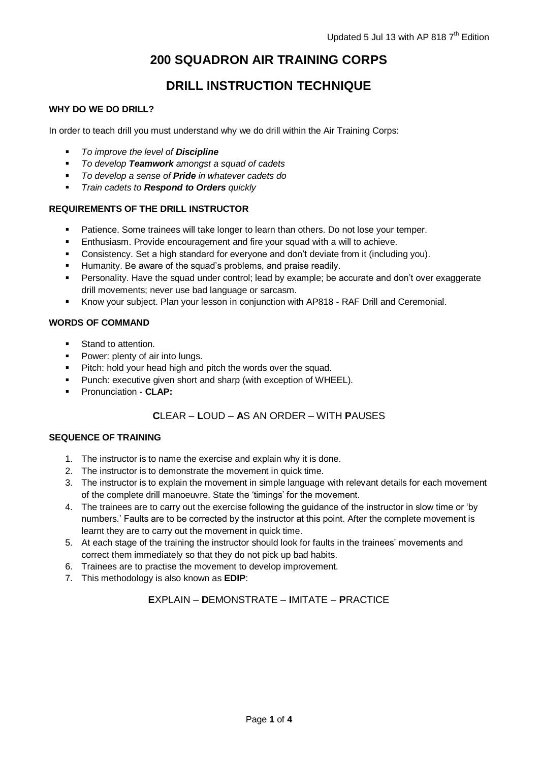# **200 SQUADRON AIR TRAINING CORPS**

# **DRILL INSTRUCTION TECHNIQUE**

## **WHY DO WE DO DRILL?**

In order to teach drill you must understand why we do drill within the Air Training Corps:

- *To improve the level of Discipline*
- *To develop Teamwork amongst a squad of cadets*
- *To develop a sense of Pride in whatever cadets do*
- *Train cadets to Respond to Orders quickly*

### **REQUIREMENTS OF THE DRILL INSTRUCTOR**

- **Patience. Some trainees will take longer to learn than others. Do not lose your temper.**
- **Enthusiasm. Provide encouragement and fire your squad with a will to achieve.**
- Consistency. Set a high standard for everyone and don't deviate from it (including you).
- Humanity. Be aware of the squad's problems, and praise readily.
- Personality. Have the squad under control; lead by example; be accurate and don't over exaggerate drill movements; never use bad language or sarcasm.
- Know your subject. Plan your lesson in conjunction with AP818 RAF Drill and Ceremonial.

### **WORDS OF COMMAND**

- **Stand to attention.**
- Power: plenty of air into lungs.
- **Pitch: hold your head high and pitch the words over the squad.**
- **Punch: executive given short and sharp (with exception of WHEEL).**
- Pronunciation **CLAP:**

# **C**LEAR – **L**OUD – **A**S AN ORDER – WITH **P**AUSES

#### **SEQUENCE OF TRAINING**

- 1. The instructor is to name the exercise and explain why it is done.
- 2. The instructor is to demonstrate the movement in quick time.
- 3. The instructor is to explain the movement in simple language with relevant details for each movement of the complete drill manoeuvre. State the 'timings' for the movement.
- 4. The trainees are to carry out the exercise following the guidance of the instructor in slow time or 'by numbers.' Faults are to be corrected by the instructor at this point. After the complete movement is learnt they are to carry out the movement in quick time.
- 5. At each stage of the training the instructor should look for faults in the trainees' movements and correct them immediately so that they do not pick up bad habits.
- 6. Trainees are to practise the movement to develop improvement.
- 7. This methodology is also known as **EDIP**:

## **E**XPLAIN – **D**EMONSTRATE – **I**MITATE – **P**RACTICE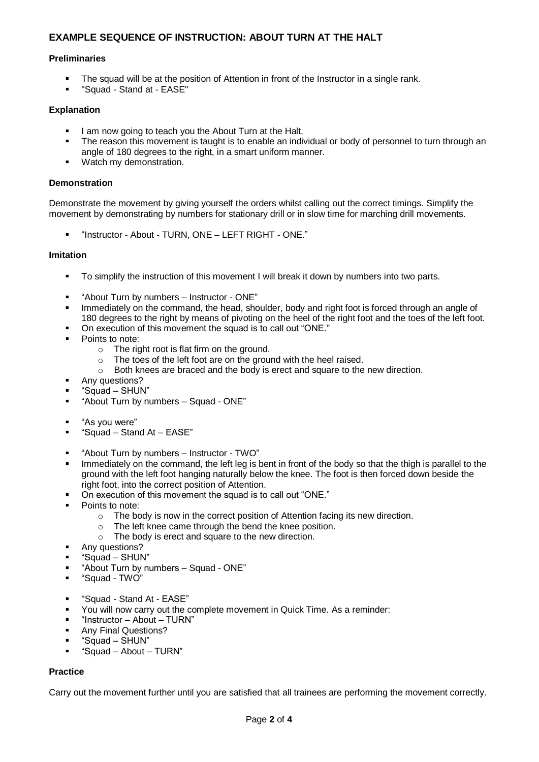## **EXAMPLE SEQUENCE OF INSTRUCTION: ABOUT TURN AT THE HALT**

#### **Preliminaries**

- The squad will be at the position of Attention in front of the Instructor in a single rank.
- "Squad Stand at EASE"

#### **Explanation**

- I am now going to teach you the About Turn at the Halt.
- The reason this movement is taught is to enable an individual or body of personnel to turn through an angle of 180 degrees to the right, in a smart uniform manner.
- Watch my demonstration.

#### **Demonstration**

Demonstrate the movement by giving yourself the orders whilst calling out the correct timings. Simplify the movement by demonstrating by numbers for stationary drill or in slow time for marching drill movements.

"Instructor - About - TURN, ONE – LEFT RIGHT - ONE."

#### **Imitation**

- To simplify the instruction of this movement I will break it down by numbers into two parts.
- "About Turn by numbers Instructor ONE"
- Immediately on the command, the head, shoulder, body and right foot is forced through an angle of 180 degrees to the right by means of pivoting on the heel of the right foot and the toes of the left foot.
- On execution of this movement the squad is to call out "ONE."
- Points to note:
	- o The right root is flat firm on the ground.
	- $\circ$  The toes of the left foot are on the ground with the heel raised.<br> $\circ$  Both knees are braced and the body is erect and square to the
	- Both knees are braced and the body is erect and square to the new direction.
- Any questions?
- "Squad SHUN"
- "About Turn by numbers Squad ONE"
- "As you were"
- "Squad Stand At EASE"
- "About Turn by numbers Instructor TWO"
- Immediately on the command, the left leg is bent in front of the body so that the thigh is parallel to the ground with the left foot hanging naturally below the knee. The foot is then forced down beside the right foot, into the correct position of Attention.
- On execution of this movement the squad is to call out "ONE."
- Points to note:
	- $\circ$  The body is now in the correct position of Attention facing its new direction.
	- o The left knee came through the bend the knee position.
	- o The body is erect and square to the new direction.
- **Any questions?**
- "Squad SHUN"
- "About Turn by numbers Squad ONE"
- "Squad TWO"
- "Squad Stand At EASE"
- You will now carry out the complete movement in Quick Time. As a reminder:
- "Instructor About TURN"
- Any Final Questions?
- "Squad SHUN"
- "Squad About TURN"

#### **Practice**

Carry out the movement further until you are satisfied that all trainees are performing the movement correctly.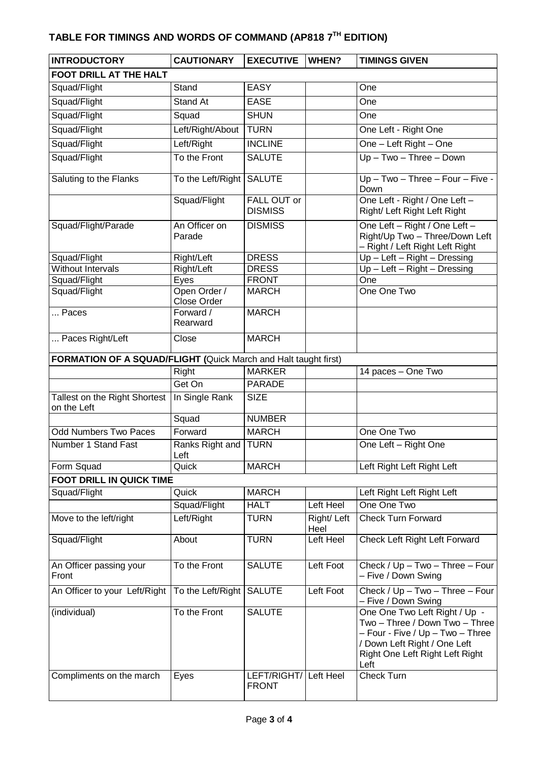# **TABLE FOR TIMINGS AND WORDS OF COMMAND (AP818 7 TH EDITION)**

| <b>INTRODUCTORY</b>                                             | <b>CAUTIONARY</b>       | <b>EXECUTIVE</b>                     | WHEN?              | <b>TIMINGS GIVEN</b>                                                                                                                                                           |  |  |  |
|-----------------------------------------------------------------|-------------------------|--------------------------------------|--------------------|--------------------------------------------------------------------------------------------------------------------------------------------------------------------------------|--|--|--|
| <b>FOOT DRILL AT THE HALT</b>                                   |                         |                                      |                    |                                                                                                                                                                                |  |  |  |
| Squad/Flight                                                    | Stand                   | <b>EASY</b>                          |                    | One                                                                                                                                                                            |  |  |  |
| Squad/Flight                                                    | Stand At                | <b>EASE</b>                          |                    | One                                                                                                                                                                            |  |  |  |
| Squad/Flight                                                    | Squad                   | <b>SHUN</b>                          |                    | One                                                                                                                                                                            |  |  |  |
| Squad/Flight                                                    | Left/Right/About        | <b>TURN</b>                          |                    | One Left - Right One                                                                                                                                                           |  |  |  |
| Squad/Flight                                                    | Left/Right              | <b>INCLINE</b>                       |                    | One - Left Right - One                                                                                                                                                         |  |  |  |
| Squad/Flight                                                    | To the Front            | <b>SALUTE</b>                        |                    | $Up - Two - Three - Down$                                                                                                                                                      |  |  |  |
| Saluting to the Flanks                                          | To the Left/Right       | <b>SALUTE</b>                        |                    | Up-Two-Three-Four-Five-<br>Down                                                                                                                                                |  |  |  |
|                                                                 | Squad/Flight            | <b>FALL OUT or</b><br><b>DISMISS</b> |                    | One Left - Right / One Left -<br>Right/ Left Right Left Right                                                                                                                  |  |  |  |
| Squad/Flight/Parade                                             | An Officer on<br>Parade | <b>DISMISS</b>                       |                    | One Left - Right / One Left -<br>Right/Up Two - Three/Down Left<br>- Right / Left Right Left Right                                                                             |  |  |  |
| Squad/Flight                                                    | Right/Left              | <b>DRESS</b>                         |                    | $Up - Left - Right - Dressing$                                                                                                                                                 |  |  |  |
| Without Intervals                                               | Right/Left              | <b>DRESS</b>                         |                    | $Up - Left - Right - Dressing$                                                                                                                                                 |  |  |  |
| Squad/Flight<br>Squad/Flight                                    | Eyes<br>Open Order /    | <b>FRONT</b><br><b>MARCH</b>         |                    | One<br>One One Two                                                                                                                                                             |  |  |  |
|                                                                 | <b>Close Order</b>      |                                      |                    |                                                                                                                                                                                |  |  |  |
| Paces                                                           | Forward /<br>Rearward   | <b>MARCH</b>                         |                    |                                                                                                                                                                                |  |  |  |
| Paces Right/Left                                                | Close                   | <b>MARCH</b>                         |                    |                                                                                                                                                                                |  |  |  |
| FORMATION OF A SQUAD/FLIGHT (Quick March and Halt taught first) |                         |                                      |                    |                                                                                                                                                                                |  |  |  |
|                                                                 | Right                   | <b>MARKER</b>                        |                    | 14 paces - One Two                                                                                                                                                             |  |  |  |
|                                                                 | Get On                  | <b>PARADE</b>                        |                    |                                                                                                                                                                                |  |  |  |
| Tallest on the Right Shortest   In Single Rank<br>on the Left   |                         | <b>SIZE</b>                          |                    |                                                                                                                                                                                |  |  |  |
|                                                                 | Squad                   | <b>NUMBER</b>                        |                    |                                                                                                                                                                                |  |  |  |
| <b>Odd Numbers Two Paces</b>                                    | Forward                 | <b>MARCH</b>                         |                    | One One Two                                                                                                                                                                    |  |  |  |
| Number 1 Stand Fast                                             | Ranks Right and<br>Left | <b>TURN</b>                          |                    | One Left - Right One                                                                                                                                                           |  |  |  |
| Form Squad                                                      | Quick                   | <b>MARCH</b>                         |                    | Left Right Left Right Left                                                                                                                                                     |  |  |  |
| <b>FOOT DRILL IN QUICK TIME</b>                                 |                         |                                      |                    |                                                                                                                                                                                |  |  |  |
| Squad/Flight                                                    | Quick                   | <b>MARCH</b>                         |                    | Left Right Left Right Left                                                                                                                                                     |  |  |  |
|                                                                 | Squad/Flight            | <b>HALT</b>                          | Left Heel          | One One Two                                                                                                                                                                    |  |  |  |
| Move to the left/right                                          | Left/Right              | <b>TURN</b>                          | Right/Left<br>Heel | Check Turn Forward                                                                                                                                                             |  |  |  |
| Squad/Flight                                                    | About                   | <b>TURN</b>                          | Left Heel          | Check Left Right Left Forward                                                                                                                                                  |  |  |  |
| An Officer passing your<br>Front                                | To the Front            | <b>SALUTE</b>                        | Left Foot          | Check / Up - Two - Three - Four<br>- Five / Down Swing                                                                                                                         |  |  |  |
| An Officer to your Left/Right                                   | To the Left/Right       | <b>SALUTE</b>                        | Left Foot          | Check / Up - Two - Three - Four<br>- Five / Down Swing                                                                                                                         |  |  |  |
| (individual)                                                    | To the Front            | <b>SALUTE</b>                        |                    | One One Two Left Right / Up -<br>Two - Three / Down Two - Three<br>- Four - Five / Up - Two - Three<br>/ Down Left Right / One Left<br>Right One Left Right Left Right<br>Left |  |  |  |
| Compliments on the march                                        | Eyes                    | LEFT/RIGHT/<br><b>FRONT</b>          | Left Heel          | <b>Check Turn</b>                                                                                                                                                              |  |  |  |